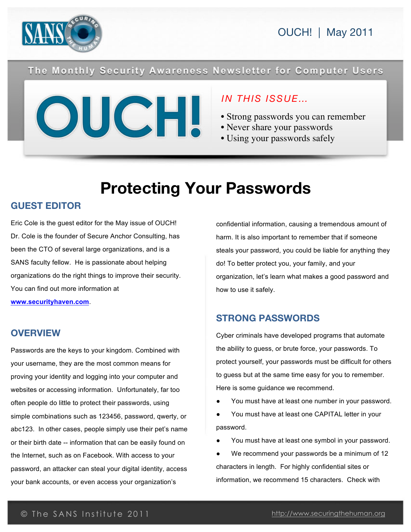

### The Monthly Security Awareness Newsletter for Computer Users



### *IN THIS ISSUE…*

- Strong passwords you can remember
- Never share your passwords
- Using your passwords safely

# **Protecting Your Passwords**

### **GUEST EDITOR**

Eric Cole is the guest editor for the May issue of OUCH! Dr. Cole is the founder of Secure Anchor Consulting, has been the CTO of several large organizations, and is a SANS faculty fellow. He is passionate about helping organizations do the right things to improve their security. You can find out more information at **www.securityhaven.com**.

### **OVERVIEW**

Passwords are the keys to your kingdom. Combined with your username, they are the most common means for proving your identity and logging into your computer and websites or accessing information. Unfortunately, far too often people do little to protect their passwords, using simple combinations such as 123456, password, qwerty, or abc123. In other cases, people simply use their pet's name or their birth date -- information that can be easily found on the Internet, such as on Facebook. With access to your password, an attacker can steal your digital identity, access your bank accounts, or even access your organization's

confidential information, causing a tremendous amount of harm. It is also important to remember that if someone steals your password, you could be liable for anything they do! To better protect you, your family, and your organization, let's learn what makes a good password and how to use it safely.

### **STRONG PASSWORDS**

Cyber criminals have developed programs that automate the ability to guess, or brute force, your passwords. To protect yourself, your passwords must be difficult for others to guess but at the same time easy for you to remember. Here is some guidance we recommend.

- You must have at least one number in your password.
- You must have at least one CAPITAL letter in your password.
- You must have at least one symbol in your password.
- We recommend your passwords be a minimum of 12 characters in length. For highly confidential sites or information, we recommend 15 characters. Check with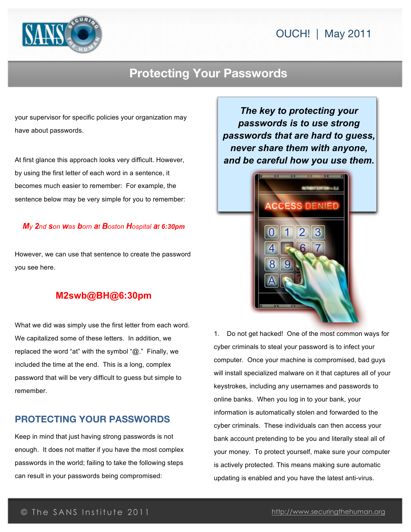## OUCH! | May 2011



## **Protecting Your Passwords**

your supervisor for specific policies your organization may have about passwords.

At first glance this approach looks very difficult. However, by using the first letter of each word in a sentence, it becomes much easier to remember: For example, the sentence below may be very simple for you to remember:

#### *My 2nd son was born at Boston Hospital at 6:30pm*

However, we can use that sentence to create the password you see here.

### **M2swb@BH@6:30pm**

What we did was simply use the first letter from each word. We capitalized some of these letters. In addition, we replaced the word "at" with the symbol "@." Finally, we included the time at the end. This is a long, complex password that will be very difficult to guess but simple to remember.

#### **PROTECTING YOUR PASSWORDS**

Keep in mind that just having strong passwords is not enough. It does not matter if you have the most complex passwords in the world; failing to take the following steps can result in your passwords being compromised:

*The key to protecting your passwords is to use strong passwords that are hard to guess, never share them with anyone, and be careful how you use them.*



1. Do not get hacked! One of the most common ways for cyber criminals to steal your password is to infect your computer. Once your machine is compromised, bad guys will install specialized malware on it that captures all of your keystrokes, including any usernames and passwords to online banks. When you log in to your bank, your information is automatically stolen and forwarded to the cyber criminals. These individuals can then access your bank account pretending to be you and literally steal all of your money. To protect yourself, make sure your computer is actively protected. This means making sure automatic updating is enabled and you have the latest anti-virus.